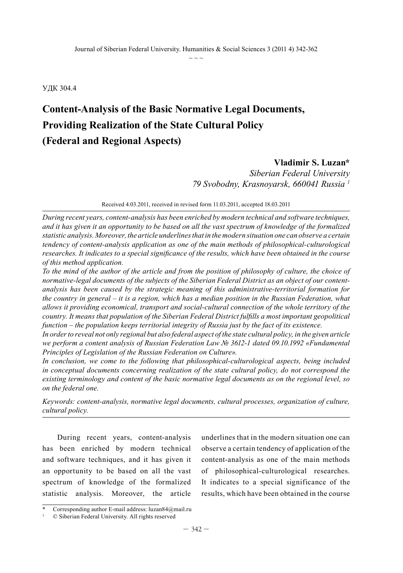УДК 304.4

## **Content-Analysis of the Basic Normative Legal Documents, Providing Realization of the State Cultural Policy (Federal and Regional Aspects)**

## **Vladimir S. Luzan\***

*Siberian Federal University 79 Svobodny, Krasnoyarsk, 660041 Russia 1*

Received 4.03.2011, received in revised form 11.03.2011, accepted 18.03.2011

*During recent years, content-analysis has been enriched by modern technical and software techniques, and it has given it an opportunity to be based on all the vast spectrum of knowledge of the formalized statistic analysis. Moreover, the article underlines that in the modern situation one can observe a certain tendency of content-analysis application as one of the main methods of philosophical-culturological researches. It indicates to a special significance of the results, which have been obtained in the course of this method application.*

*To the mind of the author of the article and from the position of philosophy of culture, the choice of normative-legal documents of the subjects of the Siberian Federal District as an object of our contentanalysis has been caused by the strategic meaning of this administrative-territorial formation for the country in general – it is a region, which has a median position in the Russian Federation, what allows it providing economical, transport and social-cultural connection of the whole territory of the country. It means that population of the Siberian Federal District fulfills a most important geopolitical function – the population keeps territorial integrity of Russia just by the fact of its existence.* 

*In order to reveal not only regional but also federal aspect of the state cultural policy, in the given article we perform a content analysis of Russian Federation Law № 3612-1 dated 09.10.1992 «Fundamental Principles of Legislation of the Russian Federation on Culture».*

*In conclusion, we come to the following that philosophical-culturological aspects, being included in conceptual documents concerning realization of the state cultural policy, do not correspond the existing terminology and content of the basic normative legal documents as on the regional level, so on the federal one.*

*Keywords: content-analysis, normative legal documents, cultural processes, organization of culture, cultural policy.* 

During recent years, content-analysis has been enriched by modern technical and software techniques, and it has given it an opportunity to be based on all the vast spectrum of knowledge of the formalized statistic analysis. Moreover, the article

underlines that in the modern situation one can observe a certain tendency of application of the content-analysis as one of the main methods of philosophical-culturological researches. It indicates to a special significance of the results, which have been obtained in the course

Corresponding author E-mail address: luzan84@mail.ru

<sup>1</sup> © Siberian Federal University. All rights reserved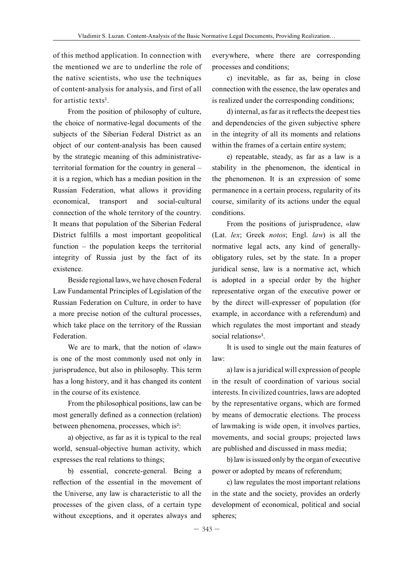of this method application. In connection with the mentioned we are to underline the role of the native scientists, who use the techniques of content-analysis for analysis, and first of all for artistic texts<sup>1</sup>.

From the position of philosophy of culture, the choice of normative-legal documents of the subjects of the Siberian Federal District as an object of our content-analysis has been caused by the strategic meaning of this administrativeterritorial formation for the country in general – it is a region, which has a median position in the Russian Federation, what allows it providing economical, transport and social-cultural connection of the whole territory of the country. It means that population of the Siberian Federal District fulfills a most important geopolitical function – the population keeps the territorial integrity of Russia just by the fact of its existence.

Beside regional laws, we have chosen Federal Law Fundamental Principles of Legislation of the Russian Federation on Culture, in order to have a more precise notion of the cultural processes, which take place on the territory of the Russian Federation.

We are to mark, that the notion of «law» is one of the most commonly used not only in jurisprudence, but also in philosophy. This term has a long history, and it has changed its content in the course of its existence.

From the philosophical positions, law can be most generally defined as a connection (relation) between phenomena, processes, which is<sup>2</sup>:

a) objective, as far as it is typical to the real world, sensual-objective human activity, which expresses the real relations to things;

b) essential, concrete-general. Being a reflection of the essential in the movement of the Universe, any law is characteristic to all the processes of the given class, of a certain type without exceptions, and it operates always and

everywhere, where there are corresponding processes and conditions;

c) inevitable, as far as, being in close connection with the essence, the law operates and is realized under the corresponding conditions;

d) internal, as far as it reflects the deepest ties and dependencies of the given subjective sphere in the integrity of all its moments and relations within the frames of a certain entire system;

e) repeatable, steady, as far as a law is a stability in the phenomenon, the identical in the phenomenon. It is an expression of some permanence in a certain process, regularity of its course, similarity of its actions under the equal conditions.

From the positions of jurisprudence, «law (Lat. *lex*; Greek *notos*; Engl. *law*) is all the normative legal acts, any kind of generallyobligatory rules, set by the state. In a proper juridical sense, law is a normative act, which is adopted in a special order by the higher representative organ of the executive power or by the direct will-expresser of population (for example, in accordance with a referendum) and which regulates the most important and steady social relations»<sup>3</sup>.

It is used to single out the main features of law:

a) law is a juridical will expression of people in the result of coordination of various social interests. In civilized countries, laws are adopted by the representative organs, which are formed by means of democratic elections. The process of lawmaking is wide open, it involves parties, movements, and social groups; projected laws are published and discussed in mass media;

b) law is issued only by the organ of executive power or adopted by means of referendum;

c) law regulates the most important relations in the state and the society, provides an orderly development of economical, political and social spheres;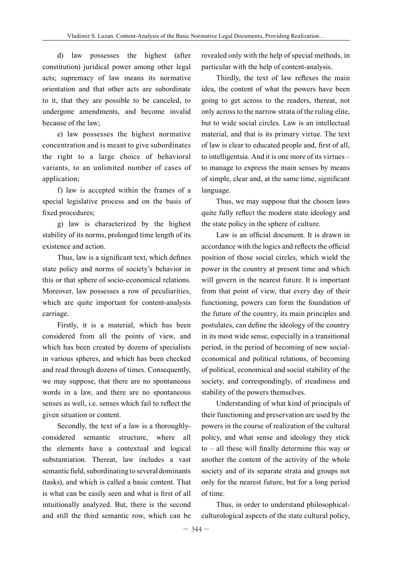d) law possesses the highest (after constitution) juridical power among other legal acts; supremacy of law means its normative orientation and that other acts are subordinate to it, that they are possible to be canceled, to undergone amendments, and become invalid because of the law;

e) law possesses the highest normative concentration and is meant to give subordinates the right to a large choice of behavioral variants, to an unlimited number of cases of application;

f) law is accepted within the frames of a special legislative process and on the basis of fixed procedures;

g) law is characterized by the highest stability of its norms, prolonged time length of its existence and action.

Thus, law is a significant text, which defines state policy and norms of society's behavior in this or that sphere of socio-economical relations. Moreover, law possesses a row of peculiarities, which are quite important for content-analysis carriage.

Firstly, it is a material, which has been considered from all the points of view, and which has been created by dozens of specialists in various spheres, and which has been checked and read through dozens of times. Consequently, we may suppose, that there are no spontaneous words in a law, and there are no spontaneous senses as well, i.e. senses which fail to reflect the given situation or content.

Secondly, the text of a law is a thoroughlyconsidered semantic structure, where all the elements have a contextual and logical substantiation. Thereat, law includes a vast semantic field, subordinating to several dominants (tasks), and which is called a basic content. That is what can be easily seen and what is first of all intuitionally analyzed. But, there is the second and still the third semantic row, which can be revealed only with the help of special methods, in particular with the help of content-analysis.

Thirdly, the text of law reflexes the main idea, the content of what the powers have been going to get across to the readers, thereat, not only across to the narrow strata of the ruling elite, but to wide social circles. Law is an intellectual material, and that is its primary virtue. The text of law is clear to educated people and, first of all, to intelligentsia. And it is one more of its virtues – to manage to express the main senses by means of simple, clear and, at the same time, significant language.

Thus, we may suppose that the chosen laws quite fully reflect the modern state ideology and the state policy in the sphere of culture.

Law is an official document. It is drawn in accordance with the logics and reflects the official position of those social circles, which wield the power in the country at present time and which will govern in the nearest future. It is important from that point of view, that every day of their functioning, powers can form the foundation of the future of the country, its main principles and postulates, can define the ideology of the country in its most wide sense, especially in a transitional period, in the period of becoming of new socialeconomical and political relations, of becoming of political, economical and social stability of the society, and correspondingly, of steadiness and stability of the powers themselves.

Understanding of what kind of principals of their functioning and preservation are used by the powers in the course of realization of the cultural policy, and what sense and ideology they stick to – all these will finally determine this way or another the content of the activity of the whole society and of its separate strata and groups not only for the nearest future, but for a long period of time.

Thus, in order to understand philosophicalculturological aspects of the state cultural policy,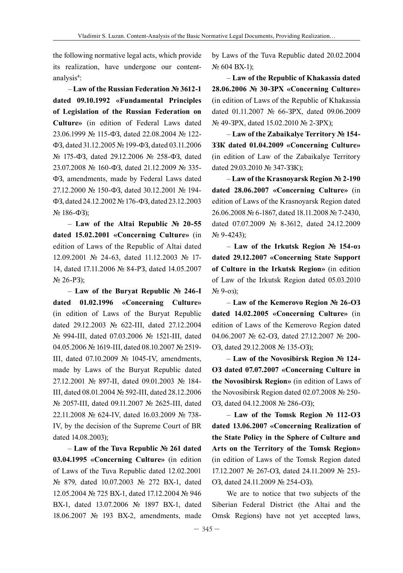the following normative legal acts, which provide its realization, have undergone our contentanalysis<sup>4</sup>:

– **Law of the Russian Federation № 3612-1 dated 09.10.1992 «Fundamental Principles of Legislation of the Russian Federation on Culture»** (in edition of Federal Laws dated 23.06.1999 № 115-ФЗ, dated 22.08.2004 № 122- ФЗ, dated 31.12.2005 № 199-ФЗ, dated 03.11.2006 № 175-ФЗ, dated 29.12.2006 № 258-ФЗ, dated 23.07.2008 № 160-ФЗ, dated 21.12.2009 № 335- ФЗ, amendments, made by Federal Laws dated 27.12.2000 № 150-ФЗ, dated 30.12.2001 № 194- ФЗ, dated 24.12.2002 №176-ФЗ, dated 23.12.2003  $N<sub>2</sub>$  186-ФЗ);

– **Law of the Altai Republic № 20-55 dated 15.02.2001 «Concerning Culture»** (in edition of Laws of the Republic of Altai dated 12.09.2001 № 24-63, dated 11.12.2003 № 17- 14, dated 17.11.2006 № 84-РЗ, dated 14.05.2007 № 26-РЗ);

– **Law of the Buryat Republic № 246-I dated 01.02.1996 «Concerning Culture»** (in edition of Laws of the Buryat Republic dated 29.12.2003 № 622-III, dated 27.12.2004 № 994-III, dated 07.03.2006 № 1521-III, dated 04.05.2006 № 1619-III, dated 08.10.2007 № 2519- III, dated 07.10.2009 № 1045-IV, amendments, made by Laws of the Buryat Republic dated 27.12.2001 № 897-II, dated 09.01.2003 № 184- III, dated 08.01.2004 № 592-III, dated 28.12.2006 № 2057-III, dated 09.11.2007 № 2625-III, dated 22.11.2008 № 624-IV, dated 16.03.2009 № 738- IV, by the decision of the Supreme Court of BR dated 14.08.2003);

– **Law of the Tuva Republic № 261 dated 03.04.1995 «Concerning Culture»** (in edition of Laws of the Tuva Republic dated 12.02.2001 № 879, dated 10.07.2003 № 272 ВХ-1, dated 12.05.2004 № 725 ВХ-1, dated 17.12.2004 № 946 ВХ-1, dated 13.07.2006 № 1897 ВХ-1, dated 18.06.2007 № 193 ВХ-2, amendments, made

by Laws of the Tuva Republic dated 20.02.2004 № 604 ВХ-1);

– **Law of the Republic of Khakassia dated 28.06.2006 № 30-ЗРХ «Concerning Culture»** (in edition of Laws of the Republic of Khakassia dated 01.11.2007 № 66-ЗРХ, dated 09.06.2009 № 49-ЗРХ, dated 15.02.2010 № 2-ЗРХ);

– **Law of the Zabaikalye Territory № 154- ЗЗК dated 01.04.2009 «Concerning Culture»**  (in edition of Law of the Zabaikalye Territory dated 29.03.2010 № 347-ЗЗК);

– **Law of the Krasnoyarsk Region № 2-190 dated 28.06.2007 «Concerning Culture»** (in edition of Laws of the Krasnoyarsk Region dated 26.06.2008 № 6-1867, dated 18.11.2008 № 7-2430, dated 07.07.2009 № 8-3612, dated 24.12.2009  $N_2$  9-4243);

– **Law of the Irkutsk Region № 154-оз dated 29.12.2007 «Concerning State Support of Culture in the Irkutsk Region»** (in edition of Law of the Irkutsk Region dated 05.03.2010 № 9-оз);

– **Law of the Kemerovo Region № 26-ОЗ dated 14.02.2005 «Concerning Culture»** (in edition of Laws of the Kemerovo Region dated 04.06.2007 № 62-ОЗ, dated 27.12.2007 № 200- ОЗ, dated 29.12.2008 № 135-ОЗ);

– **Law of the Novosibirsk Region № 124- ОЗ dated 07.07.2007 «Concerning Culture in the Novosibirsk Region»** (in edition of Laws of the Novosibirsk Region dated 02.07.2008 № 250- ОЗ, dated 04.12.2008 № 286-ОЗ);

– **Law of the Tomsk Region № 112-ОЗ dated 13.06.2007 «Concerning Realization of the State Policy in the Sphere of Culture and Arts on the Territory of the Tomsk Region»** (in edition of Laws of the Tomsk Region dated 17.12.2007 № 267-ОЗ, dated 24.11.2009 № 253- ОЗ, dated 24.11.2009 № 254-ОЗ).

We are to notice that two subjects of the Siberian Federal District (the Altai and the Omsk Regions) have not yet accepted laws,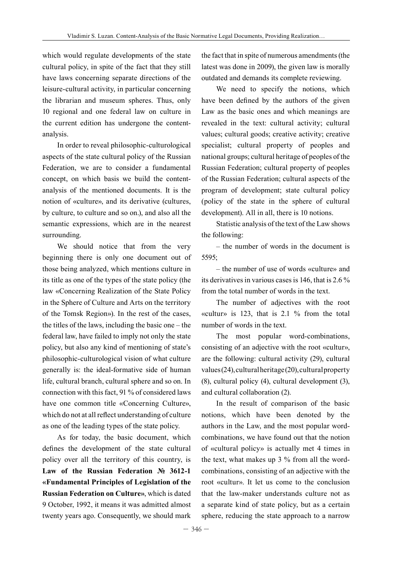which would regulate developments of the state cultural policy, in spite of the fact that they still have laws concerning separate directions of the leisure-cultural activity, in particular concerning the librarian and museum spheres. Thus, only 10 regional and one federal law on culture in the current edition has undergone the contentanalysis.

In order to reveal philosophic-culturological aspects of the state cultural policy of the Russian Federation, we are to consider a fundamental concept, on which basis we build the contentanalysis of the mentioned documents. It is the notion of «culture», and its derivative (cultures, by culture, to culture and so on.), and also all the semantic expressions, which are in the nearest surrounding.

We should notice that from the very beginning there is only one document out of those being analyzed, which mentions culture in its title as one of the types of the state policy (the law «Concerning Realization of the State Policy in the Sphere of Culture and Arts on the territory of the Tomsk Region»). In the rest of the cases, the titles of the laws, including the basic one – the federal law, have failed to imply not only the state policy, but also any kind of mentioning of state's philosophic-culturological vision of what culture generally is: the ideal-formative side of human life, cultural branch, cultural sphere and so on. In connection with this fact, 91 % of considered laws have one common title «Concerning Culture», which do not at all reflect understanding of culture as one of the leading types of the state policy.

As for today, the basic document, which defines the development of the state cultural policy over all the territory of this country, is **Law of the Russian Federation № 3612-1 «Fundamental Principles of Legislation of the Russian Federation on Culture»**, which is dated 9 October, 1992, it means it was admitted almost twenty years ago. Consequently, we should mark

the fact that in spite of numerous amendments (the latest was done in 2009), the given law is morally outdated and demands its complete reviewing.

We need to specify the notions, which have been defined by the authors of the given Law as the basic ones and which meanings are revealed in the text: cultural activity; cultural values; cultural goods; creative activity; creative specialist; cultural property of peoples and national groups; cultural heritage of peoples of the Russian Federation; cultural property of peoples of the Russian Federation; cultural aspects of the program of development; state cultural policy (policy of the state in the sphere of cultural development). All in all, there is 10 notions.

Statistic analysis of the text of the Law shows the following:

– the number of words in the document is 5595;

– the number of use of words «culture» and its derivatives in various cases is 146, that is 2.6 % from the total number of words in the text.

The number of adjectives with the root «cultur» is 123, that is 2.1 % from the total number of words in the text.

The most popular word-combinations, consisting of an adjective with the root «cultur», are the following: cultural activity (29), cultural values (24), cultural heritage (20), cultural property (8), cultural policy (4), cultural development (3), and cultural collaboration (2).

In the result of comparison of the basic notions, which have been denoted by the authors in the Law, and the most popular wordcombinations, we have found out that the notion of «cultural policy» is actually met 4 times in the text, what makes up 3 % from all the wordcombinations, consisting of an adjective with the root «cultur». It let us come to the conclusion that the law-maker understands culture not as a separate kind of state policy, but as a certain sphere, reducing the state approach to a narrow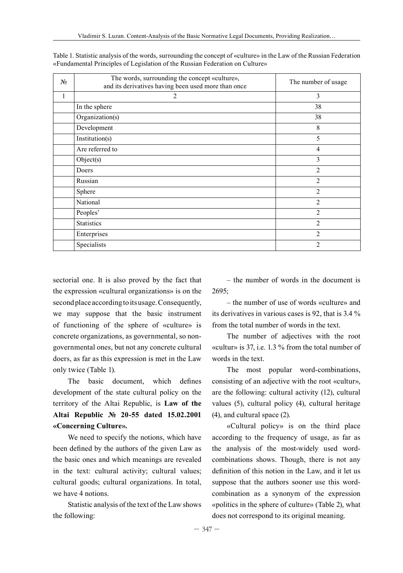| $N_2$ | The words, surrounding the concept «culture»,<br>and its derivatives having been used more than once | The number of usage |  |
|-------|------------------------------------------------------------------------------------------------------|---------------------|--|
| 1     | 2                                                                                                    | 3                   |  |
|       | In the sphere                                                                                        | 38                  |  |
|       | Organization(s)                                                                                      | 38                  |  |
|       | Development                                                                                          | 8                   |  |
|       | Institution(s)                                                                                       | 5                   |  |
|       | Are referred to                                                                                      | $\overline{4}$      |  |
|       | Object(s)                                                                                            | 3                   |  |
|       | Doers                                                                                                | $\overline{2}$      |  |
|       | Russian                                                                                              | $\overline{2}$      |  |
|       | Sphere                                                                                               | $\overline{2}$      |  |
|       | National                                                                                             | $\overline{2}$      |  |
|       | Peoples'                                                                                             | $\overline{2}$      |  |
|       | <b>Statistics</b>                                                                                    | $\overline{2}$      |  |
|       | Enterprises                                                                                          | $\overline{2}$      |  |
|       | Specialists                                                                                          | $\overline{2}$      |  |

Table 1. Statistic analysis of the words, surrounding the concept of «culture» in the Law of the Russian Federation «Fundamental Principles of Legislation of the Russian Federation on Culture»

sectorial one. It is also proved by the fact that the expression «cultural organizations» is on the second place according to its usage. Consequently, we may suppose that the basic instrument of functioning of the sphere of «culture» is concrete organizations, as governmental, so nongovernmental ones, but not any concrete cultural doers, as far as this expression is met in the Law only twice (Table 1).

The basic document, which defines development of the state cultural policy on the territory of the Altai Republic, is **Law of the Altai Republic № 20-55 dated 15.02.2001 «Concerning Culture».**

We need to specify the notions, which have been defined by the authors of the given Law as the basic ones and which meanings are revealed in the text: cultural activity; cultural values; cultural goods; cultural organizations. In total, we have 4 notions.

Statistic analysis of the text of the Law shows the following:

– the number of words in the document is 2695;

– the number of use of words «culture» and its derivatives in various cases is 92, that is 3.4 % from the total number of words in the text.

The number of adjectives with the root «cultur» is 37, i.e. 1.3 % from the total number of words in the text.

The most popular word-combinations, consisting of an adjective with the root «cultur», are the following: cultural activity (12), cultural values (5), cultural policy (4), cultural heritage (4), and cultural space (2).

«Cultural policy» is on the third place according to the frequency of usage, as far as the analysis of the most-widely used wordcombinations shows. Though, there is not any definition of this notion in the Law, and it let us suppose that the authors sooner use this wordcombination as a synonym of the expression «politics in the sphere of culture» (Table 2), what does not correspond to its original meaning.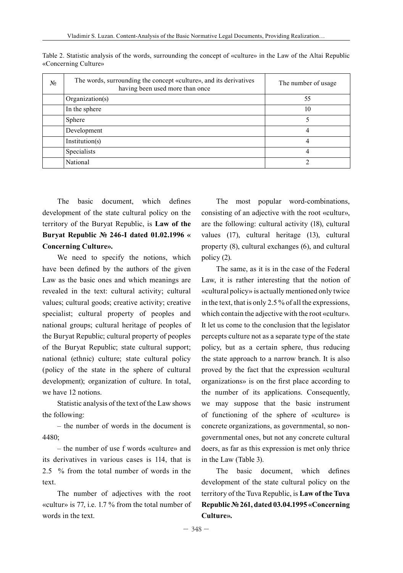| N <sub>2</sub> | The words, surrounding the concept «culture», and its derivatives<br>having been used more than once | The number of usage |
|----------------|------------------------------------------------------------------------------------------------------|---------------------|
|                | Organization(s)                                                                                      | 55                  |
|                | In the sphere                                                                                        | 10                  |
|                | Sphere                                                                                               |                     |
|                | Development                                                                                          | 4                   |
|                | Institution(s)                                                                                       |                     |
|                | Specialists                                                                                          | 4                   |
|                | National                                                                                             |                     |

Table 2. Statistic analysis of the words, surrounding the concept of «culture» in the Law of the Altai Republic «Concerning Culture»

The basic document, which defines development of the state cultural policy on the territory of the Buryat Republic, is **Law of the Buryat Republic № 246-I dated 01.02.1996 « Concerning Culture».**

We need to specify the notions, which have been defined by the authors of the given Law as the basic ones and which meanings are revealed in the text: cultural activity; cultural values; cultural goods; creative activity; creative specialist; cultural property of peoples and national groups; cultural heritage of peoples of the Buryat Republic; cultural property of peoples of the Buryat Republic; state cultural support; national (ethnic) culture; state cultural policy (policy of the state in the sphere of cultural development); organization of culture. In total, we have 12 notions.

Statistic analysis of the text of the Law shows the following:

– the number of words in the document is 4480;

– the number of use f words «culture» and its derivatives in various cases is 114, that is 2.5 % from the total number of words in the text.

The number of adjectives with the root «cultur» is 77, i.e. 1.7 % from the total number of words in the text.

The most popular word-combinations, consisting of an adjective with the root «cultur», are the following: cultural activity (18), cultural values (17), cultural heritage (13), cultural property (8), cultural exchanges (6), and cultural policy (2).

The same, as it is in the case of the Federal Law, it is rather interesting that the notion of «cultural policy» is actually mentioned only twice in the text, that is only 2.5 % of all the expressions, which contain the adjective with the root «cultur». It let us come to the conclusion that the legislator percepts culture not as a separate type of the state policy, but as a certain sphere, thus reducing the state approach to a narrow branch. It is also proved by the fact that the expression «cultural organizations» is on the first place according to the number of its applications. Consequently, we may suppose that the basic instrument of functioning of the sphere of «culture» is concrete organizations, as governmental, so nongovernmental ones, but not any concrete cultural doers, as far as this expression is met only thrice in the Law (Table 3).

The basic document, which defines development of the state cultural policy on the territory of the Tuva Republic, is **Law of the Tuva Republic №261, dated 03.04.1995 «Concerning Culture».**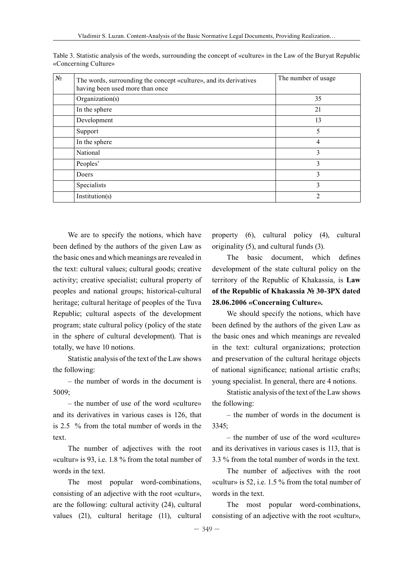| N <sub>2</sub> | The words, surrounding the concept «culture», and its derivatives<br>having been used more than once | The number of usage |
|----------------|------------------------------------------------------------------------------------------------------|---------------------|
|                | Organization(s)                                                                                      | 35                  |
|                | In the sphere                                                                                        | 21                  |
|                | Development                                                                                          | 13                  |
|                | Support                                                                                              | 5                   |
|                | In the sphere                                                                                        | 4                   |
|                | National                                                                                             | 3                   |
|                | Peoples'                                                                                             | 3                   |
|                | Doers                                                                                                | 3                   |
|                | Specialists                                                                                          | 3                   |
|                | Institution(s)                                                                                       | ↑                   |

Table 3. Statistic analysis of the words, surrounding the concept of «culture» in the Law of the Buryat Republic «Concerning Culture»

We are to specify the notions, which have been defined by the authors of the given Law as the basic ones and which meanings are revealed in the text: cultural values; cultural goods; creative activity; creative specialist; cultural property of peoples and national groups; historical-cultural heritage; cultural heritage of peoples of the Tuva Republic; cultural aspects of the development program; state cultural policy (policy of the state in the sphere of cultural development). That is totally, we have 10 notions.

Statistic analysis of the text of the Law shows the following:

– the number of words in the document is 5009;

– the number of use of the word «culture» and its derivatives in various cases is 126, that is 2.5 % from the total number of words in the text.

The number of adjectives with the root «cultur» is 93, i.e. 1.8 % from the total number of words in the text.

The most popular word-combinations, consisting of an adjective with the root «cultur», are the following: cultural activity (24), cultural values (21), cultural heritage (11), cultural

property (6), cultural policy (4), cultural originality (5), and cultural funds (3).

The basic document, which defines development of the state cultural policy on the territory of the Republic of Khakassia, is **Law of the Republic of Khakassia № 30-ЗРХ dated 28.06.2006 «Concerning Culture».**

We should specify the notions, which have been defined by the authors of the given Law as the basic ones and which meanings are revealed in the text: cultural organizations; protection and preservation of the cultural heritage objects of national significance; national artistic crafts; young specialist. In general, there are 4 notions.

Statistic analysis of the text of the Law shows the following:

– the number of words in the document is 3345;

– the number of use of the word «culture» and its derivatives in various cases is 113, that is 3.3 % from the total number of words in the text.

The number of adjectives with the root «cultur» is 52, i.e. 1.5 % from the total number of words in the text.

The most popular word-combinations, consisting of an adjective with the root «cultur»,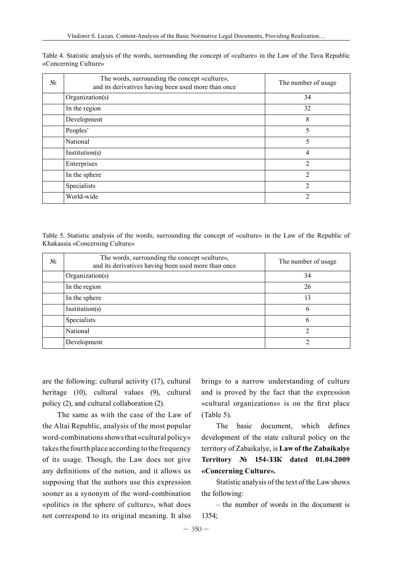| N <sub>2</sub> | The words, surrounding the concept «culture»,<br>and its derivatives having been used more than once | The number of usage |
|----------------|------------------------------------------------------------------------------------------------------|---------------------|
|                | Organization(s)                                                                                      | 34                  |
|                | In the region                                                                                        | 32                  |
|                | Development                                                                                          | 8                   |
|                | Peoples'                                                                                             | 5                   |
|                | National                                                                                             | 5                   |
|                | Institution(s)                                                                                       | 4                   |
|                | Enterprises                                                                                          | $\mathfrak{D}$      |
|                | In the sphere                                                                                        | $\mathfrak{D}$      |
|                | Specialists                                                                                          | $\mathfrak{D}$      |
|                | World-wide                                                                                           | C                   |

Table 4. Statistic analysis of the words, surrounding the concept of «culture» in the Law of the Tuva Republic «Concerning Culture»

Table 5. Statistic analysis of the words, surrounding the concept of «culture» in the Law of the Republic of Khakassia «Concerning Culture»

| N <sub>2</sub> | The words, surrounding the concept «culture»,<br>and its derivatives having been used more than once | The number of usage |
|----------------|------------------------------------------------------------------------------------------------------|---------------------|
|                | Organization(s)                                                                                      | 34                  |
|                | In the region                                                                                        | 26                  |
|                | In the sphere                                                                                        | 13                  |
|                | Institution(s)                                                                                       | 6                   |
|                | Specialists                                                                                          | 6                   |
|                | National                                                                                             | 2                   |
|                | Development                                                                                          |                     |

are the following: cultural activity (17), cultural heritage (10), cultural values (9), cultural policy (2), and cultural collaboration (2).

The same as with the case of the Law of the Altai Republic, analysis of the most popular word-combinations shows that «cultural policy» takes the fourth place according to the frequency of its usage. Though, the Law does not give any definitions of the notion, and it allows us supposing that the authors use this expression sooner as a synonym of the word-combination «politics in the sphere of culture», what does not correspond to its original meaning. It also

brings to a narrow understanding of culture and is proved by the fact that the expression «cultural organizations» is on the first place  $(Table 5)$ .

The basic document, which defines development of the state cultural policy on the territory of Zabaikalye, is **Law of the Zabaikalye Territory № 154-ЗЗК dated 01.04.2009 «Concerning Culture».** 

Statistic analysis of the text of the Law shows the following:

– the number of words in the document is 1354;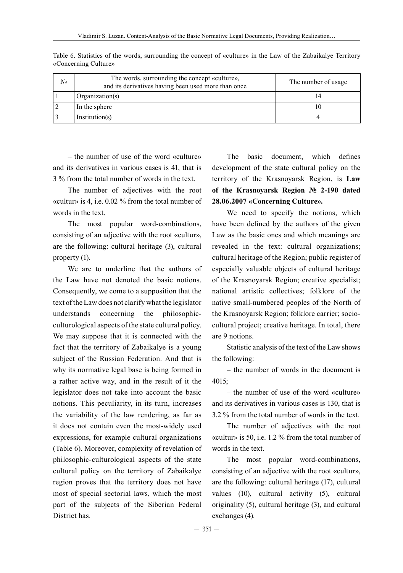| $N_2$ | The words, surrounding the concept «culture»,<br>and its derivatives having been used more than once | The number of usage |
|-------|------------------------------------------------------------------------------------------------------|---------------------|
|       | Organization(s)                                                                                      |                     |
|       | In the sphere                                                                                        | 10                  |
|       | Institution(s)                                                                                       |                     |

Table 6. Statistics of the words, surrounding the concept of «culture» in the Law of the Zabaikalye Territory «Concerning Culture»

– the number of use of the word «culture» and its derivatives in various cases is 41, that is 3 % from the total number of words in the text.

The number of adjectives with the root «cultur» is 4, i.e. 0.02 % from the total number of words in the text.

The most popular word-combinations, consisting of an adjective with the root «cultur», are the following: cultural heritage (3), cultural property (1).

We are to underline that the authors of the Law have not denoted the basic notions. Consequently, we come to a supposition that the text of the Law does not clarify what the legislator understands concerning the philosophicculturological aspects of the state cultural policy. We may suppose that it is connected with the fact that the territory of Zabaikalye is a young subject of the Russian Federation. And that is why its normative legal base is being formed in a rather active way, and in the result of it the legislator does not take into account the basic notions. This peculiarity, in its turn, increases the variability of the law rendering, as far as it does not contain even the most-widely used expressions, for example cultural organizations (Table 6). Moreover, complexity of revelation of philosophic-culturological aspects of the state cultural policy on the territory of Zabaikalye region proves that the territory does not have most of special sectorial laws, which the most part of the subjects of the Siberian Federal District has.

The basic document, which defines development of the state cultural policy on the territory of the Krasnoyarsk Region, is **Law of the Krasnoyarsk Region № 2-190 dated 28.06.2007 «Concerning Culture».** 

We need to specify the notions, which have been defined by the authors of the given Law as the basic ones and which meanings are revealed in the text: cultural organizations; cultural heritage of the Region; public register of especially valuable objects of cultural heritage of the Krasnoyarsk Region; creative specialist; national artistic collectives; folklore of the native small-numbered peoples of the North of the Krasnoyarsk Region; folklore carrier; sociocultural project; creative heritage. In total, there are 9 notions.

Statistic analysis of the text of the Law shows the following:

– the number of words in the document is 4015;

– the number of use of the word «culture» and its derivatives in various cases is 130, that is 3.2 % from the total number of words in the text.

The number of adjectives with the root «cultur» is 50, i.e. 1.2 % from the total number of words in the text.

The most popular word-combinations, consisting of an adjective with the root «cultur», are the following: cultural heritage (17), cultural values (10), cultural activity (5), cultural originality (5), cultural heritage (3), and cultural exchanges (4).

 $-351-$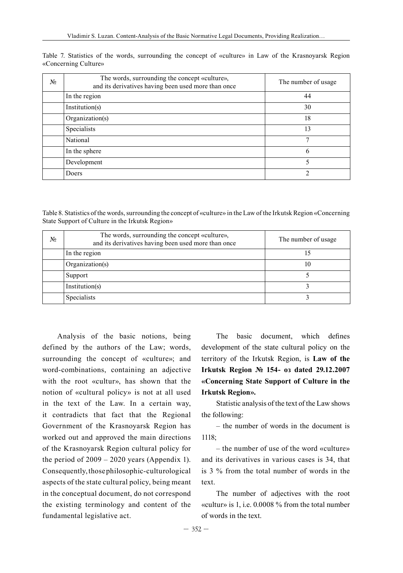| N <sub>2</sub> | The words, surrounding the concept «culture»,<br>and its derivatives having been used more than once | The number of usage |
|----------------|------------------------------------------------------------------------------------------------------|---------------------|
|                | In the region                                                                                        | 44                  |
|                | Institution(s)                                                                                       | 30                  |
|                | Organization(s)                                                                                      | 18                  |
|                | Specialists                                                                                          | 13                  |
|                | National                                                                                             | $\mathbf{r}$        |
|                | In the sphere                                                                                        | 6                   |
|                | Development                                                                                          | 5                   |
|                | Doers                                                                                                | ◠                   |

Table 7. Statistics of the words, surrounding the concept of «culture» in Law of the Krasnoyarsk Region «Concerning Culture»

Table 8. Statistics of the words, surrounding the concept of «culture» in the Law of the Irkutsk Region «Concerning State Support of Culture in the Irkutsk Region»

| N <sub>2</sub> | The words, surrounding the concept «culture»,<br>and its derivatives having been used more than once | The number of usage |
|----------------|------------------------------------------------------------------------------------------------------|---------------------|
|                | In the region                                                                                        | 15                  |
|                | Organization(s)                                                                                      | 10                  |
|                | Support                                                                                              |                     |
|                | Institution(s)                                                                                       |                     |
|                | Specialists                                                                                          |                     |

Analysis of the basic notions, being defined by the authors of the Law; words, surrounding the concept of «culture»; and word-combinations, containing an adjective with the root «cultur», has shown that the notion of «cultural policy» is not at all used in the text of the Law. In a certain way, it contradicts that fact that the Regional Government of the Krasnoyarsk Region has worked out and approved the main directions of the Krasnoyarsk Region cultural policy for the period of  $2009 - 2020$  years (Appendix 1). Consequently, those philosophic-culturological aspects of the state cultural policy, being meant in the conceptual document, do not correspond the existing terminology and content of the fundamental legislative act.

The basic document, which defines development of the state cultural policy on the territory of the Irkutsk Region, is **Law of the Irkutsk Region № 154- оз dated 29.12.2007 «Concerning State Support of Culture in the Irkutsk Region».** 

Statistic analysis of the text of the Law shows the following:

– the number of words in the document is 1118;

– the number of use of the word «culture» and its derivatives in various cases is 34, that is 3 % from the total number of words in the text.

The number of adjectives with the root «cultur» is 1, i.e. 0.0008 % from the total number of words in the text.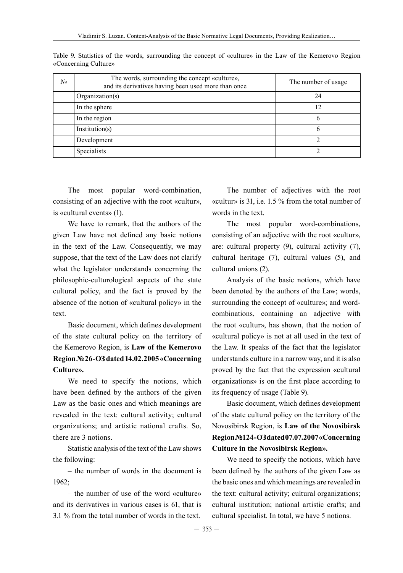| N <sub>2</sub> | The words, surrounding the concept «culture»,<br>and its derivatives having been used more than once | The number of usage |
|----------------|------------------------------------------------------------------------------------------------------|---------------------|
|                | Organization(s)                                                                                      | 24                  |
|                | In the sphere                                                                                        | 12                  |
|                | In the region                                                                                        | 6                   |
|                | Institution(s)                                                                                       | 6                   |
|                | Development                                                                                          |                     |
|                | Specialists                                                                                          |                     |

Table 9. Statistics of the words, surrounding the concept of «culture» in the Law of the Kemerovo Region «Concerning Culture»

The most popular word-combination, consisting of an adjective with the root «cultur», is «cultural events» (1).

We have to remark, that the authors of the given Law have not defined any basic notions in the text of the Law. Consequently, we may suppose, that the text of the Law does not clarify what the legislator understands concerning the philosophic-culturological aspects of the state cultural policy, and the fact is proved by the absence of the notion of «cultural policy» in the text.

Basic document, which defines development of the state cultural policy on the territory of the Kemerovo Region, is **Law of the Kemerovo Region №26-ОЗ dated 14.02.2005 «Concerning Culture».**

We need to specify the notions, which have been defined by the authors of the given Law as the basic ones and which meanings are revealed in the text: cultural activity; cultural organizations; and artistic national crafts. So, there are 3 notions.

Statistic analysis of the text of the Law shows the following:

– the number of words in the document is 1962;

– the number of use of the word «culture» and its derivatives in various cases is 61, that is 3.1 % from the total number of words in the text.

The number of adjectives with the root «cultur» is 31, i.e. 1.5 % from the total number of words in the text.

The most popular word-combinations, consisting of an adjective with the root «cultur», are: cultural property (9), cultural activity (7), cultural heritage (7), cultural values (5), and cultural unions (2).

Analysis of the basic notions, which have been denoted by the authors of the Law; words, surrounding the concept of «culture»; and wordcombinations, containing an adjective with the root «cultur», has shown, that the notion of «cultural policy» is not at all used in the text of the Law. It speaks of the fact that the legislator understands culture in a narrow way, and it is also proved by the fact that the expression «cultural organizations» is on the first place according to its frequency of usage (Table 9).

Basic document, which defines development of the state cultural policy on the territory of the Novosibirsk Region, is **Law of the Novosibirsk Region №124-ОЗ dated 07.07.2007 «Concerning Culture in the Novosibirsk Region».**

We need to specify the notions, which have been defined by the authors of the given Law as the basic ones and which meanings are revealed in the text: cultural activity; cultural organizations; cultural institution; national artistic crafts; and cultural specialist. In total, we have 5 notions.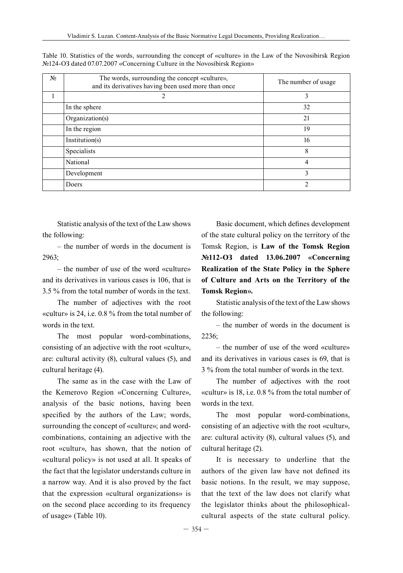| N <sub>2</sub> | The words, surrounding the concept «culture»,<br>and its derivatives having been used more than once | The number of usage |
|----------------|------------------------------------------------------------------------------------------------------|---------------------|
|                | $\mathfrak{D}_{\mathfrak{p}}$                                                                        | 3                   |
|                | In the sphere                                                                                        | 32                  |
|                | Organization(s)                                                                                      | 21                  |
|                | In the region                                                                                        | 19                  |
|                | Institution(s)                                                                                       | 16                  |
|                | Specialists                                                                                          | 8                   |
|                | National                                                                                             | 4                   |
|                | Development                                                                                          | 3                   |
|                | Doers                                                                                                | $\mathfrak{D}$      |

Table 10. Statistics of the words, surrounding the concept of «culture» in the Law of the Novosibirsk Region №124-ОЗ dated 07.07.2007 «Concerning Culture in the Novosibirsk Region»

Statistic analysis of the text of the Law shows the following:

– the number of words in the document is 2963;

– the number of use of the word «culture» and its derivatives in various cases is 106, that is 3.5 % from the total number of words in the text.

The number of adjectives with the root «cultur» is 24, i.e. 0.8 % from the total number of words in the text.

The most popular word-combinations, consisting of an adjective with the root «cultur», are: cultural activity (8), cultural values (5), and cultural heritage (4).

The same as in the case with the Law of the Kemerovo Region «Concerning Culture», analysis of the basic notions, having been specified by the authors of the Law; words, surrounding the concept of «culture»; and wordcombinations, containing an adjective with the root «cultur», has shown, that the notion of «cultural policy» is not used at all. It speaks of the fact that the legislator understands culture in a narrow way. And it is also proved by the fact that the expression «cultural organizations» is on the second place according to its frequency of usage» (Table 10).

Basic document, which defines development of the state cultural policy on the territory of the Tomsk Region, is **Law of the Tomsk Region №112-ОЗ dated 13.06.2007 «Concerning Realization of the State Policy in the Sphere of Culture and Arts on the Territory of the Tomsk Region».**

Statistic analysis of the text of the Law shows the following:

– the number of words in the document is 2236;

– the number of use of the word «culture» and its derivatives in various cases is 69, that is 3 % from the total number of words in the text.

The number of adjectives with the root «cultur» is 18, i.e. 0.8 % from the total number of words in the text.

The most popular word-combinations, consisting of an adjective with the root «cultur», are: cultural activity (8), cultural values (5), and cultural heritage (2).

It is necessary to underline that the authors of the given law have not defined its basic notions. In the result, we may suppose, that the text of the law does not clarify what the legislator thinks about the philosophicalcultural aspects of the state cultural policy.

 $-354-$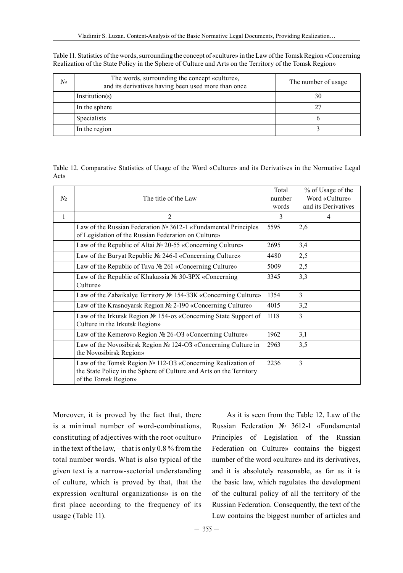| N₫ | The words, surrounding the concept «culture»,<br>and its derivatives having been used more than once | The number of usage |
|----|------------------------------------------------------------------------------------------------------|---------------------|
|    | Institution(s)                                                                                       | 30                  |
|    | In the sphere                                                                                        |                     |
|    | <b>Specialists</b>                                                                                   |                     |
|    | In the region                                                                                        |                     |

Table 11. Statistics of the words, surrounding the concept of «culture» in the Law of the Tomsk Region «Concerning Realization of the State Policy in the Sphere of Culture and Arts on the Territory of the Tomsk Region»

Table 12. Comparative Statistics of Usage of the Word «Culture» and its Derivatives in the Normative Legal Acts

| $N_2$        | The title of the Law                                                                                                                                       | Total<br>number<br>words | % of Usage of the<br>Word «Culture»<br>and its Derivatives |
|--------------|------------------------------------------------------------------------------------------------------------------------------------------------------------|--------------------------|------------------------------------------------------------|
| $\mathbf{1}$ | $\mathfrak{D}$                                                                                                                                             | 3                        | 4                                                          |
|              | Law of the Russian Federation № 3612-1 «Fundamental Principles<br>of Legislation of the Russian Federation on Culture»                                     | 5595                     | 2,6                                                        |
|              | Law of the Republic of Altai № 20-55 «Concerning Culture»                                                                                                  | 2695                     | 3,4                                                        |
|              | Law of the Buryat Republic № 246-I «Concerning Culture»                                                                                                    | 4480                     | 2,5                                                        |
|              | Law of the Republic of Tuva № 261 «Concerning Culture»                                                                                                     | 5009                     | 2,5                                                        |
|              | Law of the Republic of Khakassia № 30-3PX «Concerning<br>Culture»                                                                                          | 3345                     | 3,3                                                        |
|              | Law of the Zabaikalye Territory № 154-33K «Concerning Culture»                                                                                             | 1354                     | 3                                                          |
|              | Law of the Krasnoyarsk Region № 2-190 «Concerning Culture»                                                                                                 | 4015                     | 3,2                                                        |
|              | Law of the Irkutsk Region № 154-03 «Concerning State Support of<br>Culture in the Irkutsk Region»                                                          | 1118                     | 3                                                          |
|              | Law of the Kemerovo Region № 26-O3 «Concerning Culture»                                                                                                    | 1962                     | 3,1                                                        |
|              | Law of the Novosibirsk Region № 124-O3 «Concerning Culture in<br>the Novosibirsk Region»                                                                   | 2963                     | 3,5                                                        |
|              | Law of the Tomsk Region № 112-O3 «Concerning Realization of<br>the State Policy in the Sphere of Culture and Arts on the Territory<br>of the Tomsk Region» | 2236                     | 3                                                          |

Moreover, it is proved by the fact that, there is a minimal number of word-combinations, constituting of adjectives with the root «cultur» in the text of the law, – that is only 0.8 % from the total number words. What is also typical of the given text is a narrow-sectorial understanding of culture, which is proved by that, that the expression «cultural organizations» is on the first place according to the frequency of its usage (Table 11).

As it is seen from the Table 12, Law of the Russian Federation № 3612-1 «Fundamental Principles of Legislation of the Russian Federation on Culture» contains the biggest number of the word «culture» and its derivatives, and it is absolutely reasonable, as far as it is the basic law, which regulates the development of the cultural policy of all the territory of the Russian Federation. Consequently, the text of the Law contains the biggest number of articles and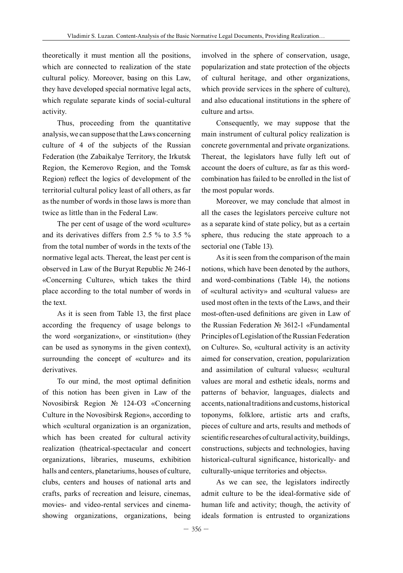theoretically it must mention all the positions, which are connected to realization of the state cultural policy. Moreover, basing on this Law, they have developed special normative legal acts, which regulate separate kinds of social-cultural activity.

Thus, proceeding from the quantitative analysis, we can suppose that the Laws concerning culture of 4 of the subjects of the Russian Federation (the Zabaikalye Territory, the Irkutsk Region, the Kemerovo Region, and the Tomsk Region) reflect the logics of development of the territorial cultural policy least of all others, as far as the number of words in those laws is more than twice as little than in the Federal Law.

The per cent of usage of the word «culture» and its derivatives differs from 2.5 % to 3.5 % from the total number of words in the texts of the normative legal acts. Thereat, the least per cent is observed in Law of the Buryat Republic № 246-I «Concerning Culture», which takes the third place according to the total number of words in the text.

As it is seen from Table 13, the first place according the frequency of usage belongs to the word «organization», or «institution» (they can be used as synonyms in the given context), surrounding the concept of «culture» and its derivatives.

To our mind, the most optimal definition of this notion has been given in Law of the Novosibirsk Region № 124-ОЗ «Concerning Culture in the Novosibirsk Region», according to which «cultural organization is an organization, which has been created for cultural activity realization (theatrical-spectacular and concert organizations, libraries, museums, exhibition halls and centers, planetariums, houses of culture, clubs, centers and houses of national arts and crafts, parks of recreation and leisure, cinemas, movies- and video-rental services and cinemashowing organizations, organizations, being involved in the sphere of conservation, usage, popularization and state protection of the objects of cultural heritage, and other organizations, which provide services in the sphere of culture), and also educational institutions in the sphere of culture and arts».

Consequently, we may suppose that the main instrument of cultural policy realization is concrete governmental and private organizations. Thereat, the legislators have fully left out of account the doers of culture, as far as this wordcombination has failed to be enrolled in the list of the most popular words.

Moreover, we may conclude that almost in all the cases the legislators perceive culture not as a separate kind of state policy, but as a certain sphere, thus reducing the state approach to a sectorial one (Table 13).

As it is seen from the comparison of the main notions, which have been denoted by the authors, and word-combinations (Table 14), the notions of «cultural activity» and «cultural values» are used most often in the texts of the Laws, and their most-often-used definitions are given in Law of the Russian Federation № 3612-1 «Fundamental Principles of Legislation of the Russian Federation on Culture». So, «cultural activity is an activity aimed for conservation, creation, popularization and assimilation of cultural values»; «cultural values are moral and esthetic ideals, norms and patterns of behavior, languages, dialects and accents, national traditions and customs, historical toponyms, folklore, artistic arts and crafts, pieces of culture and arts, results and methods of scientific researches of cultural activity, buildings, constructions, subjects and technologies, having historical-cultural significance, historically- and culturally-unique territories and objects».

As we can see, the legislators indirectly admit culture to be the ideal-formative side of human life and activity; though, the activity of ideals formation is entrusted to organizations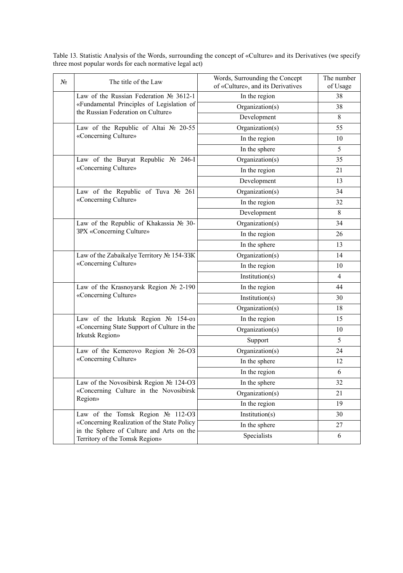| Nº. | The title of the Law                                                                                                                                          | Words, Surrounding the Concept<br>of «Culture», and its Derivatives | The number<br>of Usage |
|-----|---------------------------------------------------------------------------------------------------------------------------------------------------------------|---------------------------------------------------------------------|------------------------|
|     | Law of the Russian Federation $N_2$ 3612-1                                                                                                                    | In the region                                                       | 38                     |
|     | «Fundamental Principles of Legislation of<br>Organization(s)<br>the Russian Federation on Culture»<br>Development                                             | 38                                                                  |                        |
|     |                                                                                                                                                               |                                                                     | 8                      |
|     | Law of the Republic of Altai № 20-55<br>«Concerning Culture»                                                                                                  | Organization(s)                                                     | 55                     |
|     |                                                                                                                                                               | In the region                                                       | 10                     |
|     |                                                                                                                                                               | In the sphere                                                       | 5                      |
|     | Law of the Buryat Republic Nº 246-I<br>«Concerning Culture»                                                                                                   | Organization(s)                                                     | 35                     |
|     |                                                                                                                                                               | In the region                                                       | 21                     |
|     |                                                                                                                                                               | Development                                                         | 13                     |
|     | Law of the Republic of Tuva $N_2$ 261<br>«Concerning Culture»                                                                                                 | Organization(s)                                                     | 34                     |
|     |                                                                                                                                                               | In the region                                                       | 32                     |
|     |                                                                                                                                                               | Development                                                         | 8                      |
|     | Law of the Republic of Khakassia № 30-<br>3PX «Concerning Culture»                                                                                            | Organization(s)                                                     | 34                     |
|     |                                                                                                                                                               | In the region                                                       | 26                     |
|     |                                                                                                                                                               | In the sphere                                                       | 13                     |
|     | Law of the Zabaikalye Territory № 154-33K<br>«Concerning Culture»                                                                                             | Organization(s)                                                     | 14                     |
|     |                                                                                                                                                               | In the region                                                       | 10                     |
|     |                                                                                                                                                               | Institution(s)                                                      | $\overline{4}$         |
|     | Law of the Krasnoyarsk Region № 2-190<br>«Concerning Culture»                                                                                                 | In the region                                                       | 44                     |
|     |                                                                                                                                                               | Institution(s)                                                      | 30                     |
|     |                                                                                                                                                               | Organization(s)                                                     | 18                     |
|     | Law of the Irkutsk Region No 154-03                                                                                                                           | In the region                                                       | 15                     |
|     | «Concerning State Support of Culture in the<br><b>Irkutsk Region»</b>                                                                                         | Organization(s)                                                     | 10                     |
|     | Support                                                                                                                                                       |                                                                     | 5                      |
|     | Law of the Kemerovo Region № 26-O3                                                                                                                            | Organization(s)                                                     | 24                     |
|     | «Concerning Culture»                                                                                                                                          | In the sphere                                                       | 12                     |
|     |                                                                                                                                                               | In the region                                                       | 6                      |
|     | Law of the Novosibirsk Region № 124-O3<br>«Concerning Culture in the Novosibirsk<br>Region»                                                                   | In the sphere                                                       | 32                     |
|     |                                                                                                                                                               | Organization(s)                                                     | 21                     |
|     |                                                                                                                                                               | In the region                                                       | 19                     |
|     | Law of the Tomsk Region № 112-O3<br>«Concerning Realization of the State Policy<br>in the Sphere of Culture and Arts on the<br>Territory of the Tomsk Region» | Institution(s)                                                      | 30                     |
|     |                                                                                                                                                               | In the sphere                                                       | 27                     |
|     |                                                                                                                                                               | Specialists                                                         | 6                      |

Table 13. Statistic Analysis of the Words, surrounding the concept of «Culture» and its Derivatives (we specify three most popular words for each normative legal act)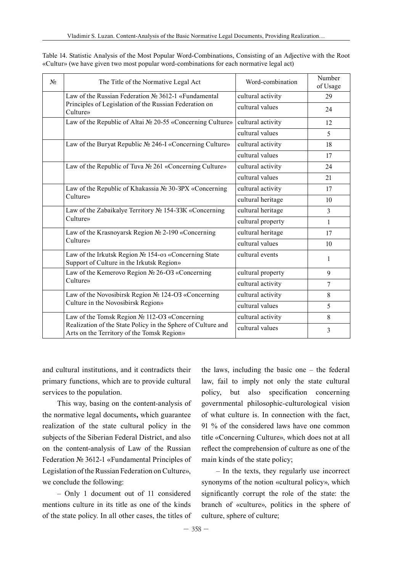| N <sub>2</sub> | The Title of the Normative Legal Act                                                                                      | Word-combination  | Number<br>of Usage |
|----------------|---------------------------------------------------------------------------------------------------------------------------|-------------------|--------------------|
|                | Law of the Russian Federation № 3612-1 «Fundamental<br>Principles of Legislation of the Russian Federation on<br>Culture» | cultural activity | 29                 |
|                |                                                                                                                           | cultural values   | 24                 |
|                | Law of the Republic of Altai № 20-55 «Concerning Culture»                                                                 | cultural activity | 12                 |
|                |                                                                                                                           | cultural values   | 5                  |
|                | Law of the Buryat Republic № 246-I «Concerning Culture»                                                                   | cultural activity | 18                 |
|                |                                                                                                                           | cultural values   | 17                 |
|                | Law of the Republic of Tuva № 261 «Concerning Culture»                                                                    | cultural activity | 24                 |
|                |                                                                                                                           | cultural values   | 21                 |
| Culture»       | Law of the Republic of Khakassia № 30-3PX «Concerning                                                                     | cultural activity | 17                 |
|                |                                                                                                                           | cultural heritage | 10                 |
|                | Law of the Zabaikalye Territory № 154-33K «Concerning<br>Culture»                                                         | cultural heritage | 3                  |
|                |                                                                                                                           | cultural property | $\mathbf{1}$       |
|                | Law of the Krasnoyarsk Region № 2-190 «Concerning<br>Culture»                                                             | cultural heritage | 17                 |
|                |                                                                                                                           | cultural values   | 10                 |
|                | Law of the Irkutsk Region № 154-03 «Concerning State<br>Support of Culture in the Irkutsk Region»                         | cultural events   | 1                  |
|                | Law of the Kemerovo Region № 26-O3 «Concerning                                                                            | cultural property | 9                  |
| Culture»       |                                                                                                                           | cultural activity | 7                  |
|                | Law of the Novosibirsk Region № 124-O3 «Concerning                                                                        | cultural activity | 8                  |
|                | Culture in the Novosibirsk Region»                                                                                        | cultural values   | 5                  |
|                | Law of the Tomsk Region № 112-O3 «Concerning                                                                              | cultural activity | 8                  |
|                | Realization of the State Policy in the Sphere of Culture and<br>Arts on the Territory of the Tomsk Region»                | cultural values   | 3                  |

Table 14. Statistic Analysis of the Most Popular Word-Combinations, Consisting of an Adjective with the Root «Cultur» (we have given two most popular word-combinations for each normative legal act)

and cultural institutions, and it contradicts their primary functions, which are to provide cultural services to the population.

This way, basing on the content-analysis of the normative legal documents**,** which guarantee realization of the state cultural policy in the subjects of the Siberian Federal District, and also on the content-analysis of Law of the Russian Federation № 3612-1 «Fundamental Principles of Legislation of the Russian Federation on Culture», we conclude the following:

– Only 1 document out of 11 considered mentions culture in its title as one of the kinds of the state policy. In all other cases, the titles of the laws, including the basic one – the federal law, fail to imply not only the state cultural policy, but also specification concerning governmental philosophic-culturological vision of what culture is. In connection with the fact, 91 % of the considered laws have one common title «Concerning Culture», which does not at all reflect the comprehension of culture as one of the main kinds of the state policy;

– In the texts, they regularly use incorrect synonyms of the notion «cultural policy», which significantly corrupt the role of the state: the branch of «culture», politics in the sphere of culture, sphere of culture;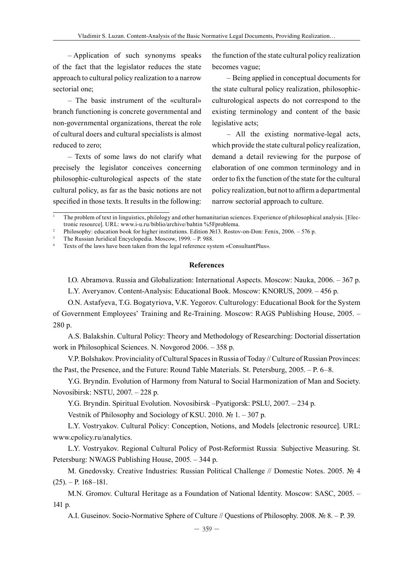– Application of such synonyms speaks of the fact that the legislator reduces the state approach to cultural policy realization to a narrow sectorial one;

– The basic instrument of the «cultural» branch functioning is concrete governmental and non-governmental organizations, thereat the role of cultural doers and cultural specialists is almost reduced to zero;

– Texts of some laws do not clarify what precisely the legislator conceives concerning philosophic-culturological aspects of the state cultural policy, as far as the basic notions are not specified in those texts. It results in the following:

the function of the state cultural policy realization becomes vague;

– being applied in conceptual documents for the state cultural policy realization, philosophicculturological aspects do not correspond to the existing terminology and content of the basic legislative acts;

– all the existing normative-legal acts, which provide the state cultural policy realization, demand a detail reviewing for the purpose of elaboration of one common terminology and in order to fix the function of the state for the cultural policy realization, but not to affirm a departmental narrow sectorial approach to culture.

#### **References**

I.О. Abramova. Russia and Globalization: International Aspects. Moscow: Nauka, 2006. – 367 p.

L.Y. Averyanov. Content-Analysis: Educational Book. Moscow: KNORUS, 2009. – 456 p.

О.N. Astafyeva, Т.G. Bogatyriova, V.К. Yegorov. Culturology: Educational Book for the System of Government Employees' Training and Re-Training. Moscow: RAGS Publishing House, 2005. – 280 p.

А.S. Balakshin. Cultural Policy: Theory and Methodology of Researching: Doctorial dissertation work in Philosophical Sciences. N. Novgorod 2006. – 358 p.

V.P. Bolshakov. Provinciality of Cultural Spaces in Russia of Today // Culture of Russian Provinces: the Past, the Presence, and the Future: Round Table Materials. St. Petersburg, 2005. – P. 6–8.

Y.G. Bryndin. Evolution of Harmony from Natural to Social Harmonization of Man and Society. Novosibirsk: NSTU, 2007. – 228 p.

Y.G. Bryndin. Spiritual Evolution. Novosibirsk –Pyatigorsk: PSLU, 2007. – 234 p.

Vestnik of Philosophy and Sociology of KSU. 2010. № 1. – 307 p.

L.Y. Vostryakov. Cultural Policy: Conception, Notions, and Models [electronic resource]. URL: www.cpolicy.ru/analytics.

L.Y. Vostryakov. Regional Cultural Policy of Post-Reformist Russia: Subjective Measuring. St. Petersburg: NWAGS Publishing House, 2005. – 344 p.

М. Gnedovsky. Creative Industries: Russian Political Challenge // Domestic Notes. 2005. № 4  $(25)$ . – P. 168–181.

М.N. Gromov. Cultural Heritage as a Foundation of National Identity. Moscow: SASC, 2005. – 141 p.

А.I. Guseinov. Socio-Normative Sphere of Culture // Questions of Philosophy. 2008. № 8. – P. 39.

<sup>1</sup> The problem of text in linguistics, philology and other humanitarian sciences. Experience of philosophical analysis. [Electronic resource]. URL: www.i-u.ru/biblio/archive/bahtin %5Fproblema.

<sup>2</sup> Philosophy: education book for higher institutions. Edition №13. Rostov-on-Don: Fenix, 2006. – 576 p.

<sup>3</sup> The Russian Juridical Encyclopedia. Moscow, 1999. – P. 988.

Texts of the laws have been taken from the legal reference system «ConsultantPlus».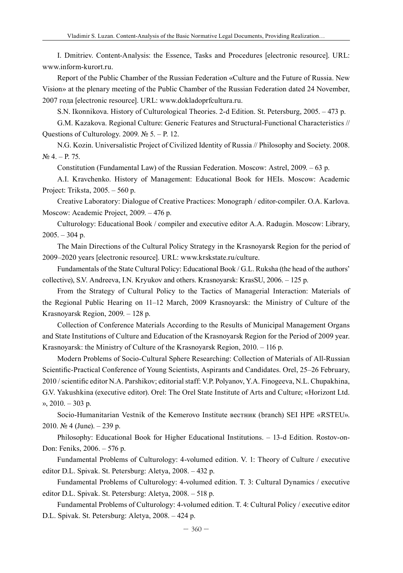I. Dmitriev. Content-Analysis: the Essence, Tasks and Procedures [electronic resource]. URL: www.inform-kurort.ru.

Report of the Public Chamber of the Russian Federation «Culture and the Future of Russia. New Vision» at the plenary meeting of the Public Chamber of the Russian Federation dated 24 November, 2007 года [electronic resource]. URL: www.dokladoprfcultura.ru.

S.N. Ikonnikova. History of Culturological Theories. 2-d Edition. St. Petersburg, 2005. – 473 p.

G.М. Kazakova. Regional Culture: Generic Features and Structural-Functional Characteristics // Questions of Culturology. 2009. № 5. – P. 12.

N.G. Kozin. Universalistic Project of Civilized Identity of Russia // Philosophy and Society. 2008. № 4. – P. 75.

Constitution (Fundamental Law) of the Russian Federation. Moscow: Astrel, 2009. – 63 p.

А.I. Kravchenko. History of Management: Educational Book for HEIs. Moscow: Academic Project: Triksta, 2005. – 560 p.

Creative Laboratory: Dialogue of Creative Practices: Monograph / editor-compiler. О.А. Karlova. Moscow: Academic Project, 2009. – 476 p.

Culturology: Educational Book / compiler and executive editor А.А. Radugin. Moscow: Library,  $2005. - 304$  p.

The Main Directions of the Cultural Policy Strategy in the Krasnoyarsk Region for the period of 2009–2020 years [electronic resource]. URL: www.krskstate.ru/culture.

Fundamentals of the State Cultural Policy: Educational Book / G.L. Ruksha (the head of the authors' collective), S.V. Andreeva, I.N. Kryukov and others. Krasnoyarsk: KrasSU, 2006. – 125 p.

From the Strategy of Cultural Policy to the Tactics of Managerial Interaction: Materials of the Regional Public Hearing on 11–12 March, 2009 Krasnoyarsk: the Ministry of Culture of the Krasnoyarsk Region, 2009. – 128 p.

Collection of Conference Materials According to the Results of Municipal Management Organs and State Institutions of Culture and Education of the Krasnoyarsk Region for the Period of 2009 year. Krasnoyarsk: the Ministry of Culture of the Krasnoyarsk Region, 2010. – 116 p.

Modern Problems of Socio-Cultural Sphere Researching: Collection of Materials of All-Russian Scientific-Practical Conference of Young Scientists, Aspirants and Candidates. Orel, 25–26 February, 2010 / scientific editor N.А. Parshikov; editorial staff: V.P. Polyanov, Y.А. Finogeeva, N.L. Chupakhina, G.V. Yakushkina (executive editor). Orel: The Orel State Institute of Arts and Culture; «Horizont Ltd. », 2010. – 303 p.

Socio-Humanitarian Vestnik of the Kemerovo Institute вестник (branch) SEI HPE «RSTEU». 2010. № 4 (June). – 239 p.

Philosophy: Educational Book for Higher Educational Institutions. – 13-d Edition. Rostov-on-Don: Feniks, 2006. – 576 p.

Fundamental Problems of Culturology: 4-volumed edition. V. 1: Theory of Culture / executive editor D.L. Spivak. St. Petersburg: Aletya, 2008. – 432 p.

Fundamental Problems of Culturology: 4-volumed edition. Т. 3: Cultural Dynamics / executive editor D.L. Spivak. St. Petersburg: Aletya, 2008. – 518 p.

Fundamental Problems of Culturology: 4-volumed edition. Т. 4: Cultural Policy / executive editor D.L. Spivak. St. Petersburg: Aletya, 2008. – 424 p.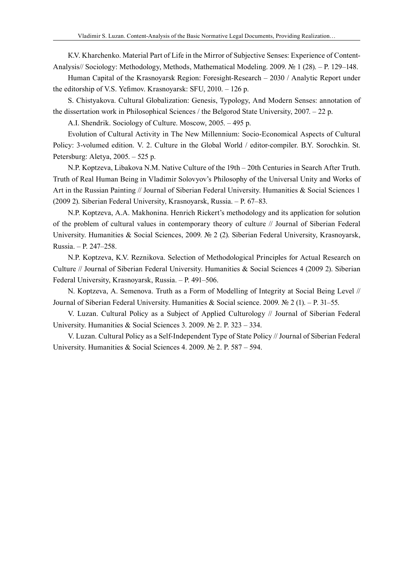К.V. Kharchenko. Material Part of Life in the Mirror of Subjective Senses: Experience of Content-Analysis// Sociology: Methodology, Methods, Mathematical Modeling. 2009. № 1 (28). – P. 129–148.

Human Capital of the Krasnoyarsk Region: Foresight-Research – 2030 / Analytic Report under the editorship of V.S. Yefimov. Krasnoyarsk: SFU, 2010. – 126 p.

S. Chistyakova. Cultural Globalization: Genesis, Typology, And Modern Senses: annotation of the dissertation work in Philosophical Sciences / the Belgorod State University, 2007. – 22 p.

А.I. Shendrik. Sociology of Culture. Moscow, 2005. – 495 p.

Evolution of Cultural Activity in The New Millennium: Socio-Economical Aspects of Cultural Policy: 3-volumed edition. V. 2. Culture in the Global World / editor-compiler. B.Y. Sorochkin. St. Petersburg: Aletya, 2005. – 525 p.

N.P. Koptzeva, Libakova N.M. Native Culture of the 19th – 20th Centuries in Search After Truth. Truth of Real Human Being in Vladimir Solovyov's Philosophy of the Universal Unity and Works of Art in the Russian Painting // Journal of Siberian Federal University. Humanities & Social Sciences 1 (2009 2). Siberian Federal University, Krasnoyarsk, Russia. – P. 67–83.

N.P. Koptzeva, A.A. Makhonina. Henrich Rickert's methodology and its application for solution of the problem of cultural values in contemporary theory of culture // Journal of Siberian Federal University. Humanities & Social Sciences, 2009. № 2 (2). Siberian Federal University, Krasnoyarsk, Russia. – P. 247–258.

N.P. Koptzeva, K.V. Reznikova. Selection of Methodological Principles for Actual Research on Culture // Journal of Siberian Federal University. Humanities & Social Sciences 4 (2009 2). Siberian Federal University, Krasnoyarsk, Russia. – P. 491–506.

N. Koptzeva, A. Semenova. Truth as a Form of Modelling of Integrity at Social Being Level // Journal of Siberian Federal University. Humanities & Social science. 2009. № 2 (1). – P. 31–55.

V. Luzan. Cultural Policy as a Subject of Applied Culturology // Journal of Siberian Federal University. Humanities & Social Sciences 3. 2009. № 2. P. 323 – 334.

V. Luzan. Cultural Policy as a Self-Independent Type of State Policy // Journal of Siberian Federal University. Humanities & Social Sciences 4. 2009. № 2. P. 587 – 594.